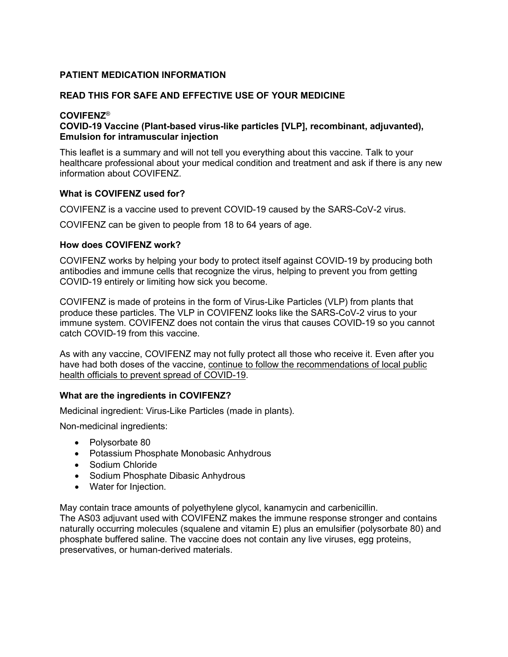## **PATIENT MEDICATION INFORMATION**

### **READ THIS FOR SAFE AND EFFECTIVE USE OF YOUR MEDICINE**

#### **COVIFENZ**®

## **COVID-19 Vaccine (Plant-based virus-like particles [VLP], recombinant, adjuvanted), Emulsion for intramuscular injection**

This leaflet is a summary and will not tell you everything about this vaccine. Talk to your healthcare professional about your medical condition and treatment and ask if there is any new information about COVIFENZ.

#### **What is COVIFENZ used for?**

COVIFENZ is a vaccine used to prevent COVID-19 caused by the SARS-CoV-2 virus.

COVIFENZ can be given to people from 18 to 64 years of age.

#### **How does COVIFENZ work?**

COVIFENZ works by helping your body to protect itself against COVID-19 by producing both antibodies and immune cells that recognize the virus, helping to prevent you from getting COVID-19 entirely or limiting how sick you become.

COVIFENZ is made of proteins in the form of Virus-Like Particles (VLP) from plants that produce these particles. The VLP in COVIFENZ looks like the SARS-CoV-2 virus to your immune system. COVIFENZ does not contain the virus that causes COVID-19 so you cannot catch COVID-19 from this vaccine.

As with any vaccine, COVIFENZ may not fully protect all those who receive it. Even after you have had both doses of the vaccine, continue to follow the recommendations of local public health officials to prevent spread of COVID-19.

### **What are the ingredients in COVIFENZ?**

Medicinal ingredient: Virus-Like Particles (made in plants).

Non-medicinal ingredients:

- Polysorbate 80
- Potassium Phosphate Monobasic Anhydrous
- Sodium Chloride
- Sodium Phosphate Dibasic Anhydrous
- Water for Injection.

May contain trace amounts of polyethylene glycol, kanamycin and carbenicillin.

The AS03 adjuvant used with COVIFENZ makes the immune response stronger and contains naturally occurring molecules (squalene and vitamin E) plus an emulsifier (polysorbate 80) and phosphate buffered saline. The vaccine does not contain any live viruses, egg proteins, preservatives, or human-derived materials.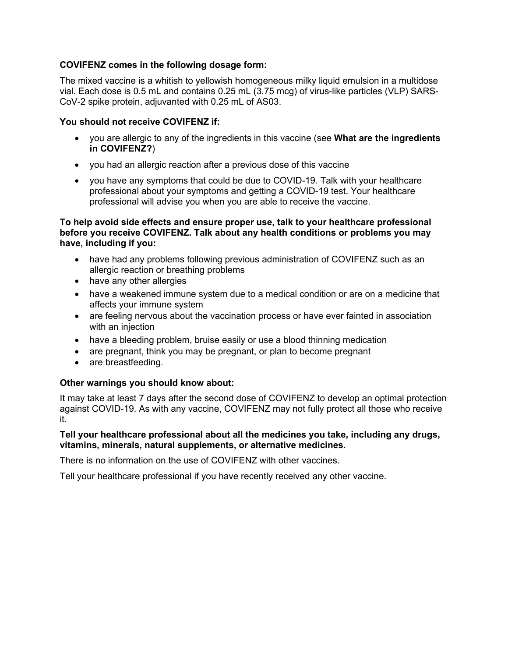### **COVIFENZ comes in the following dosage form:**

The mixed vaccine is a whitish to yellowish homogeneous milky liquid emulsion in a multidose vial. Each dose is 0.5 mL and contains 0.25 mL (3.75 mcg) of virus-like particles (VLP) SARS-CoV-2 spike protein, adjuvanted with 0.25 mL of AS03.

### **You should not receive COVIFENZ if:**

- you are allergic to any of the ingredients in this vaccine (see **What are the ingredients in COVIFENZ?**)
- you had an allergic reaction after a previous dose of this vaccine
- you have any symptoms that could be due to COVID-19. Talk with your healthcare professional about your symptoms and getting a COVID-19 test. Your healthcare professional will advise you when you are able to receive the vaccine.

#### **To help avoid side effects and ensure proper use, talk to your healthcare professional before you receive COVIFENZ. Talk about any health conditions or problems you may have, including if you:**

- have had any problems following previous administration of COVIFENZ such as an allergic reaction or breathing problems
- have any other allergies
- have a weakened immune system due to a medical condition or are on a medicine that affects your immune system
- are feeling nervous about the vaccination process or have ever fainted in association with an injection
- have a bleeding problem, bruise easily or use a blood thinning medication
- are pregnant, think you may be pregnant, or plan to become pregnant
- are breastfeeding.

### **Other warnings you should know about:**

It may take at least 7 days after the second dose of COVIFENZ to develop an optimal protection against COVID-19. As with any vaccine, COVIFENZ may not fully protect all those who receive it.

#### **Tell your healthcare professional about all the medicines you take, including any drugs, vitamins, minerals, natural supplements, or alternative medicines.**

There is no information on the use of COVIFENZ with other vaccines.

Tell your healthcare professional if you have recently received any other vaccine.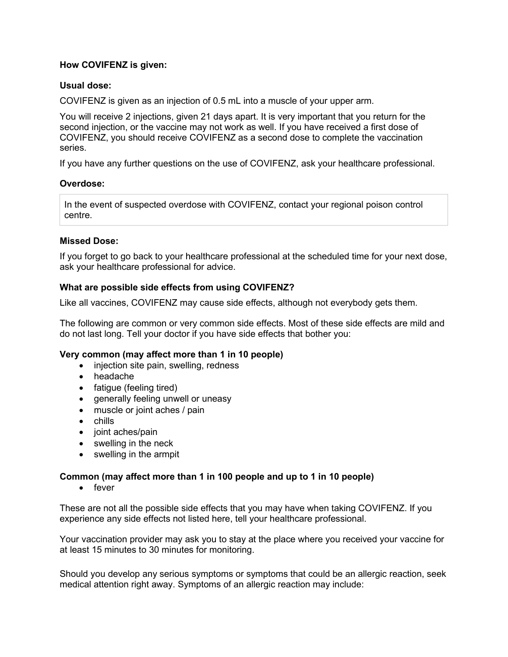### **How COVIFENZ is given:**

## **Usual dose:**

COVIFENZ is given as an injection of 0.5 mL into a muscle of your upper arm.

You will receive 2 injections, given 21 days apart. It is very important that you return for the second injection, or the vaccine may not work as well. If you have received a first dose of COVIFENZ, you should receive COVIFENZ as a second dose to complete the vaccination series.

If you have any further questions on the use of COVIFENZ, ask your healthcare professional.

### **Overdose:**

In the event of suspected overdose with COVIFENZ, contact your regional poison control centre.

# **Missed Dose:**

If you forget to go back to your healthcare professional at the scheduled time for your next dose, ask your healthcare professional for advice.

## **What are possible side effects from using COVIFENZ?**

Like all vaccines, COVIFENZ may cause side effects, although not everybody gets them.

The following are common or very common side effects. Most of these side effects are mild and do not last long. Tell your doctor if you have side effects that bother you:

### **Very common (may affect more than 1 in 10 people)**

- injection site pain, swelling, redness
- headache
- fatigue (feeling tired)
- generally feeling unwell or uneasy
- muscle or joint aches / pain
- chills
- joint aches/pain
- swelling in the neck
- swelling in the armpit

### **Common (may affect more than 1 in 100 people and up to 1 in 10 people)**

• fever

These are not all the possible side effects that you may have when taking COVIFENZ. If you experience any side effects not listed here, tell your healthcare professional.

Your vaccination provider may ask you to stay at the place where you received your vaccine for at least 15 minutes to 30 minutes for monitoring.

Should you develop any serious symptoms or symptoms that could be an allergic reaction, seek medical attention right away. Symptoms of an allergic reaction may include: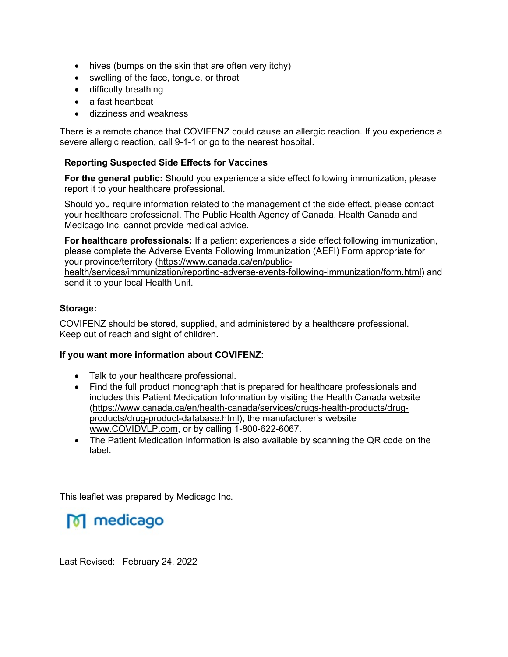- hives (bumps on the skin that are often very itchy)
- swelling of the face, tongue, or throat
- difficulty breathing
- a fast heartbeat
- dizziness and weakness

There is a remote chance that COVIFENZ could cause an allergic reaction. If you experience a severe allergic reaction, call 9-1-1 or go to the nearest hospital.

## **Reporting Suspected Side Effects for Vaccines**

**For the general public:** Should you experience a side effect following immunization, please report it to your healthcare professional.

Should you require information related to the management of the side effect, please contact your healthcare professional. The Public Health Agency of Canada, Health Canada and Medicago Inc. cannot provide medical advice.

**For healthcare professionals:** If a patient experiences a side effect following immunization, please complete the Adverse Events Following Immunization (AEFI) Form appropriate for your province/territory [\(https://www.canada.ca/en/public-](https://www.canada.ca/en/public-health/services/immunization/reporting-adverse-events-following-immunization/form.html)

[health/services/immunization/reporting-adverse-events-following-immunization/form.html\)](https://www.canada.ca/en/public-health/services/immunization/reporting-adverse-events-following-immunization/form.html) and send it to your local Health Unit.

## **Storage:**

COVIFENZ should be stored, supplied, and administered by a healthcare professional. Keep out of reach and sight of children.

### **If you want more information about COVIFENZ:**

- Talk to your healthcare professional.
- Find the full product monograph that is prepared for healthcare professionals and includes this Patient Medication Information by visiting the Health Canada website [\(https://www.canada.ca/en/health-canada/services/drugs-health-products/drug](https://www.canada.ca/en/health-canada/services/drugs-health-products/drug-products/drug-product-database.html)[products/drug-product-database.html\)](https://www.canada.ca/en/health-canada/services/drugs-health-products/drug-products/drug-product-database.html), the manufacturer's website [www.COVIDVLP.com,](http://www.covidvlp.com/) or by calling 1-800-622-6067.
- The Patient Medication Information is also available by scanning the QR code on the label.

This leaflet was prepared by Medicago Inc.

M medicago

Last Revised: February 24, 2022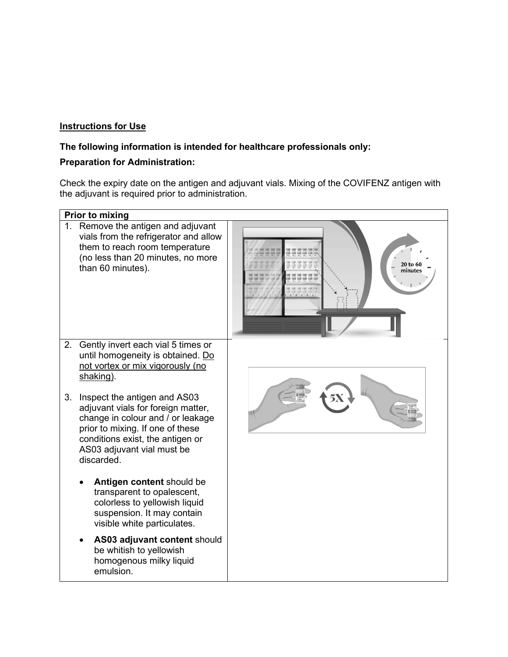# **Instructions for Use**

## **The following information is intended for healthcare professionals only:**

## **Preparation for Administration:**

Check the expiry date on the antigen and adjuvant vials. Mixing of the COVIFENZ antigen with the adjuvant is required prior to administration.

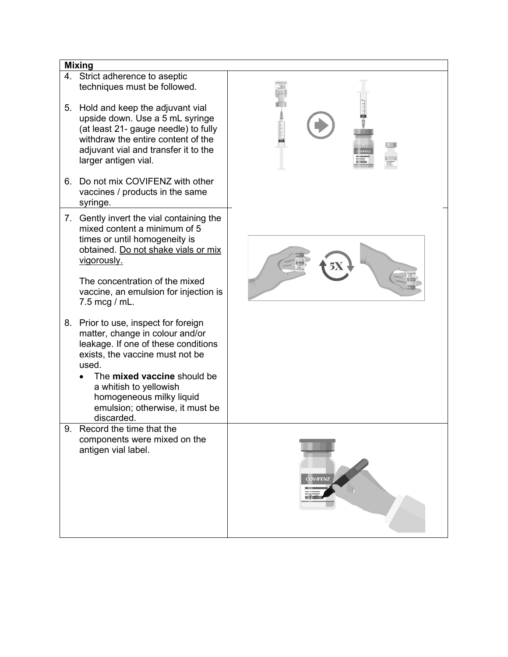#### **Mixing**

- 4. Strict adherence to aseptic techniques must be followed.
- 5. Hold and keep the adjuvant vial upside down. Use a 5 mL syringe (at least 21- gauge needle) to fully withdraw the entire content of the adjuvant vial and transfer it to the larger antigen vial.
- 6. Do not mix COVIFENZ with other vaccines / products in the same syringe.
- 7. Gently invert the vial containing the mixed content a minimum of 5 times or until homogeneity is obtained. Do not shake vials or mix vigorously.

The concentration of the mixed vaccine, an emulsion for injection is 7.5 mcg / mL.

- 8. Prior to use, inspect for foreign matter, change in colour and/or leakage. If one of these conditions exists, the vaccine must not be used.
	- The **mixed vaccine** should be a whitish to yellowish homogeneous milky liquid emulsion; otherwise, it must be discarded.
- 9. Record the time that the components were mixed on the antigen vial label.